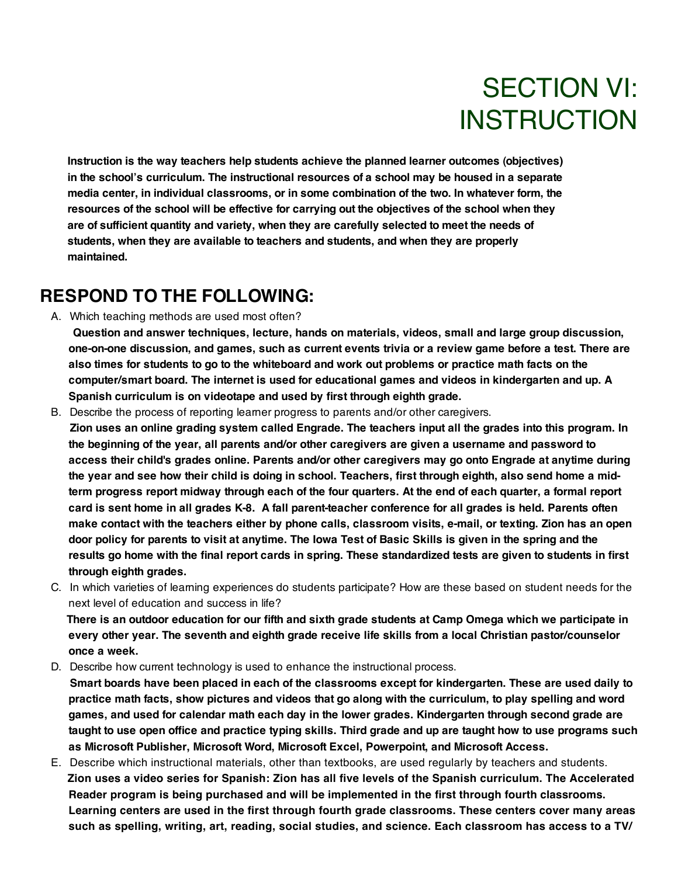# SECTION VI: **INSTRUCTION**

**Instruction is the way teachers help students achieve the planned learner outcomes (objectives) in the school's curriculum. The instructional resources of a school may be housed in a separate media center, in individual classrooms, or in some combination of the two. In whatever form, the resources of the school will be effective for carrying out the objectives of the school when they are of sufficient quantity and variety, when they are carefully selected to meet the needs of students, when they are available to teachers and students, and when they are properly maintained.**

#### **RESPOND TO THE FOLLOWING:**

- A. Which teaching methods are used most often?
	- **Question and answer techniques, lecture, hands on materials, videos, small and large group discussion,** one-on-one discussion, and games, such as current events trivia or a review game before a test. There are also times for students to go to the whiteboard and work out problems or practice math facts on the **computer/smart board. The internet is used for educational games and videos in kindergarten and up. A Spanish curriculum is on videotape and used by first through eighth grade.**
- B. Describe the process of reporting learner progress to parents and/or other caregivers. Zion uses an online grading system called Engrade. The teachers input all the grades into this program. In **the beginning of the year, all parents and/or other caregivers are given a username and password to access their child's grades online. Parents and/or other caregivers may go onto Engrade at anytime during** the year and see how their child is doing in school. Teachers, first through eighth, also send home a midterm progress report midway through each of the four quarters. At the end of each quarter, a formal report card is sent home in all grades K-8. A fall parent-teacher conference for all grades is held. Parents often make contact with the teachers either by phone calls, classroom visits, e-mail, or texting. Zion has an open door policy for parents to visit at anytime. The lowa Test of Basic Skills is given in the spring and the results go home with the final report cards in spring. These standardized tests are given to students in first **through eighth grades.**
- C. In which varieties of learning experiences do students participate? How are these based on student needs for the next level of education and success in life?

There is an outdoor education for our fifth and sixth grade students at Camp Omega which we participate in **every other year. The seventh and eighth grade receive life skills from a local Christian pastor/counselor once a week.**

- D. Describe how current technology is used to enhance the instructional process.
- Smart boards have been placed in each of the classrooms except for kindergarten. These are used daily to practice math facts, show pictures and videos that go along with the curriculum, to play spelling and word **games, and used for calendar math each day in the lower grades. Kindergarten through second grade are** taught to use open office and practice typing skills. Third grade and up are taught how to use programs such **as Microsoft Publisher, Microsoft Word, Microsoft Excel, Powerpoint, and Microsoft Access.**
- E. Describe which instructional materials, other than textbooks, are used regularly by teachers and students. **Zion uses a video series for Spanish: Zion has all five levels of the Spanish curriculum. The Accelerated Reader program is being purchased and will be implemented in the first through fourth classrooms. Learning centers are used in the first through fourth grade classrooms. These centers cover many areas such as spelling, writing, art, reading, social studies, and science. Each classroom has access to a TV/**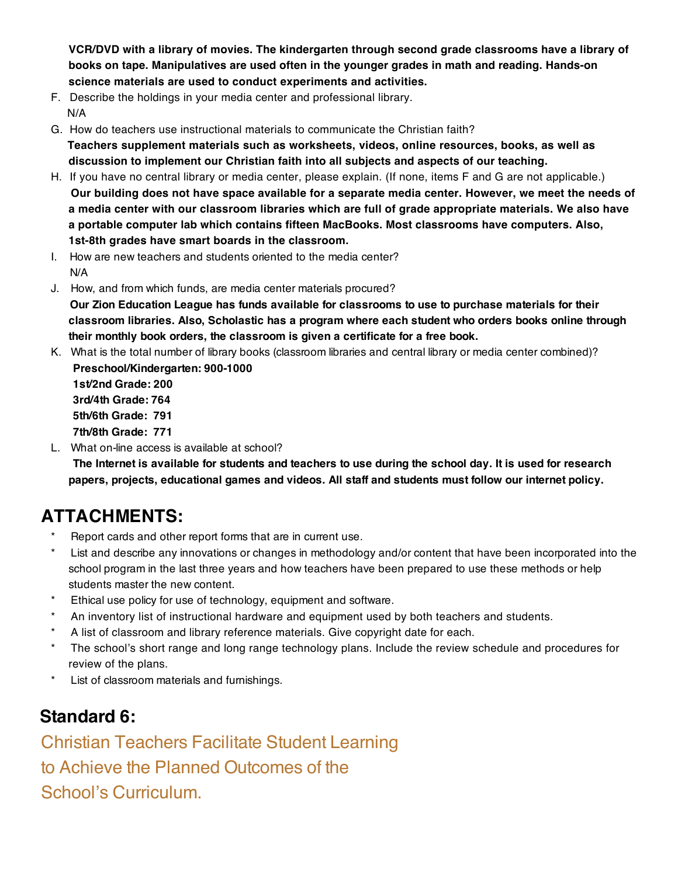**VCR/DVD with a library of movies. The kindergarten through second grade classrooms have a library of books on tape. Manipulatives are used often in the younger grades in math and reading. Hands-on science materials are used to conduct experiments and activities.** 

- F. Describe the holdings in your media center and professional library. N/A
- G. How do teachers use instructional materials to communicate the Christian faith? **Teachers supplement materials such as worksheets, videos, online resources, books, as well as discussion to implement our Christian faith into all subjects and aspects of our teaching.**
- H. If you have no central library or media center, please explain. (If none, items F and G are not applicable.) **Our building does not have space available for a separate media center. However, we meet the needs of a media center with our classroom libraries which are full of grade appropriate materials. We also have a portable computer lab which contains fifteen MacBooks. Most classrooms have computers. Also, 1st-8th grades have smart boards in the classroom.**
- I. How are new teachers and students oriented to the media center? N/A
- J. How, and from which funds, are media center materials procured?

**Our Zion Education League has funds available for classrooms to use to purchase materials for their classroom libraries. Also, Scholastic has a program where each student who orders books online through their monthly book orders, the classroom is given a certificate for a free book.**

K. What is the total number of library books (classroom libraries and central library or media center combined)? **Preschool/Kindergarten: 900-1000**

**1st/2nd Grade: 200 3rd/4th Grade: 764 5th/6th Grade: 791 7th/8th Grade: 771**

L. What on-line access is available at school?

The Internet is available for students and teachers to use during the school day. It is used for research **papers, projects, educational games and videos. All staff and students must follow our internet policy.**

## **ATTACHMENTS:**

- Report cards and other report forms that are in current use.
- \* List and describe any innovations or changes in methodology and/or content that have been incorporated into the school program in the last three years and how teachers have been prepared to use these methods or help students master the new content.
- \* Ethical use policy for use of technology, equipment and software.
- \* An inventory list of instructional hardware and equipment used by both teachers and students.
- A list of classroom and library reference materials. Give copyright date for each.
- The school's short range and long range technology plans. Include the review schedule and procedures for review of the plans.
- List of classroom materials and furnishings.

### **Standard 6:**

Christian Teachers Facilitate Student Learning to Achieve the Planned Outcomes of the School's Curriculum.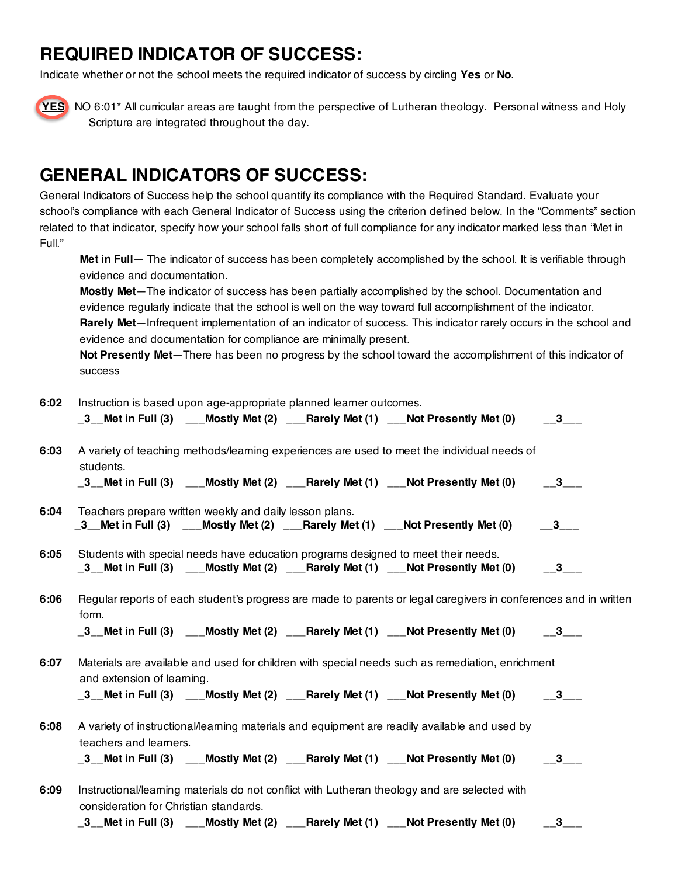#### **REQUIRED INDICATOR OF SUCCESS:**

Indicate whether or not the school meets the required indicator of success by circling **Yes** or **No**.



**YES** NO 6:01\* All curricular areas are taught from the perspective of Lutheran theology. Personal witness and Holy Scripture are integrated throughout the day.

#### **GENERAL INDICATORS OF SUCCESS:**

General Indicators of Success help the school quantify its compliance with the Required Standard. Evaluate your school's compliance with each General Indicator of Success using the criterion defined below. In the "Comments" section related to that indicator, specify how your school falls short of full compliance for any indicator marked less than "Met in Full."

**Met in Full**— The indicator of success has been completely accomplished by the school. It is verifiable through evidence and documentation.

**Mostly Met**—The indicator of success has been partially accomplished by the school. Documentation and evidence regularly indicate that the school is well on the way toward full accomplishment of the indicator. **Rarely Met**—Infrequent implementation of an indicator of success. This indicator rarely occurs in the school and evidence and documentation for compliance are minimally present.

**Not Presently Met**—There has been no progress by the school toward the accomplishment of this indicator of success

| 6:02 | Instruction is based upon age-appropriate planned learner outcomes.                                              |                                                                                   |  |                                                                                                                          |         |  |  |
|------|------------------------------------------------------------------------------------------------------------------|-----------------------------------------------------------------------------------|--|--------------------------------------------------------------------------------------------------------------------------|---------|--|--|
|      |                                                                                                                  |                                                                                   |  | _3__Met in Full (3) $\qquad$ __Mostly Met (2) $\qquad$ __Rarely Met (1) $\qquad$ __Not Presently Met (0) $\qquad$ __3___ |         |  |  |
| 6:03 |                                                                                                                  |                                                                                   |  | A variety of teaching methods/learning experiences are used to meet the individual needs of                              |         |  |  |
|      | students.                                                                                                        |                                                                                   |  |                                                                                                                          |         |  |  |
|      |                                                                                                                  |                                                                                   |  | _3__Met in Full (3) $\qquad$ __Mostly Met (2) $\qquad$ __Rarely Met (1) $\qquad$ __Not Presently Met (0) $\qquad$ __3___ |         |  |  |
| 6:04 | Teachers prepare written weekly and daily lesson plans.                                                          |                                                                                   |  |                                                                                                                          |         |  |  |
|      |                                                                                                                  |                                                                                   |  | _3__Met in Full (3) $\qquad$ __Mostly Met (2) $\qquad$ __Rarely Met (1) $\qquad$ __Not Presently Met (0) $\qquad$ __3___ |         |  |  |
| 6:05 |                                                                                                                  | Students with special needs have education programs designed to meet their needs. |  |                                                                                                                          |         |  |  |
|      |                                                                                                                  |                                                                                   |  | _3__Met in Full (3)  ___Mostly Met (2)  ___Rarely Met (1)  ___Not Presently Met (0)   __3___                             |         |  |  |
| 6:06 | Regular reports of each student's progress are made to parents or legal caregivers in conferences and in written |                                                                                   |  |                                                                                                                          |         |  |  |
|      | form.                                                                                                            |                                                                                   |  |                                                                                                                          |         |  |  |
|      |                                                                                                                  |                                                                                   |  | _3__Met in Full (3)  __Mostly Met (2)  __Rarely Met (1)  __Not Presently Met (0)  __3___                                 |         |  |  |
| 6:07 | Materials are available and used for children with special needs such as remediation, enrichment                 |                                                                                   |  |                                                                                                                          |         |  |  |
|      | and extension of learning.                                                                                       |                                                                                   |  |                                                                                                                          |         |  |  |
|      |                                                                                                                  |                                                                                   |  | _3__Met in Full (3) $\qquad$ __Mostly Met (2) $\qquad$ __Rarely Met (1) $\qquad$ __Not Presently Met (0) $\qquad$ __3___ |         |  |  |
| 6:08 | A variety of instructional/learning materials and equipment are readily available and used by                    |                                                                                   |  |                                                                                                                          |         |  |  |
|      | teachers and learners.                                                                                           |                                                                                   |  |                                                                                                                          |         |  |  |
|      |                                                                                                                  |                                                                                   |  | _3__Met in Full (3)  ___Mostly Met (2)  ___Rarely Met (1)  ___Not Presently Met (0)   __3___                             |         |  |  |
| 6:09 | Instructional/learning materials do not conflict with Lutheran theology and are selected with                    |                                                                                   |  |                                                                                                                          |         |  |  |
|      | consideration for Christian standards.                                                                           |                                                                                   |  |                                                                                                                          |         |  |  |
|      |                                                                                                                  |                                                                                   |  | _3__Met in Full (3) ___Mostly Met (2) ___Rarely Met (1) ___Not Presently Met (0)                                         | $\_\_3$ |  |  |